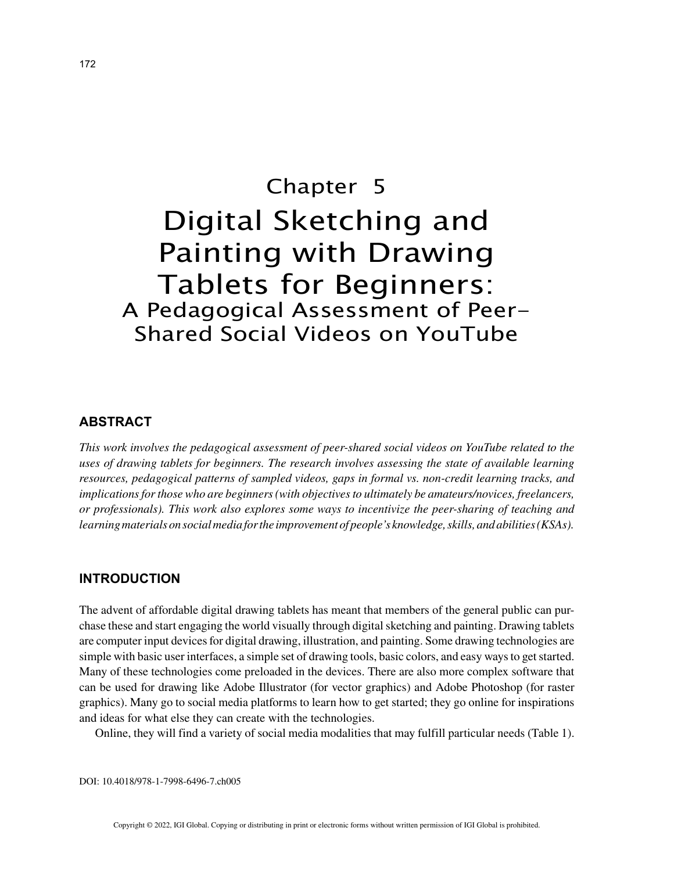# Chapter 5 Digital Sketching and Painting with Drawing Tablets for Beginners: A Pedagogical Assessment of Peer-Shared Social Videos on YouTube

### **ABSTRACT**

*This work involves the pedagogical assessment of peer-shared social videos on YouTube related to the uses of drawing tablets for beginners. The research involves assessing the state of available learning resources, pedagogical patterns of sampled videos, gaps in formal vs. non-credit learning tracks, and implications for those who are beginners (with objectives to ultimately be amateurs/novices, freelancers, or professionals). This work also explores some ways to incentivize the peer-sharing of teaching and learning materials on social media for the improvement of people's knowledge, skills, and abilities (KSAs).*

#### **INTRODUCTION**

The advent of affordable digital drawing tablets has meant that members of the general public can purchase these and start engaging the world visually through digital sketching and painting. Drawing tablets are computer input devices for digital drawing, illustration, and painting. Some drawing technologies are simple with basic user interfaces, a simple set of drawing tools, basic colors, and easy ways to get started. Many of these technologies come preloaded in the devices. There are also more complex software that can be used for drawing like Adobe Illustrator (for vector graphics) and Adobe Photoshop (for raster graphics). Many go to social media platforms to learn how to get started; they go online for inspirations and ideas for what else they can create with the technologies.

Online, they will find a variety of social media modalities that may fulfill particular needs (Table 1).

DOI: 10.4018/978-1-7998-6496-7.ch005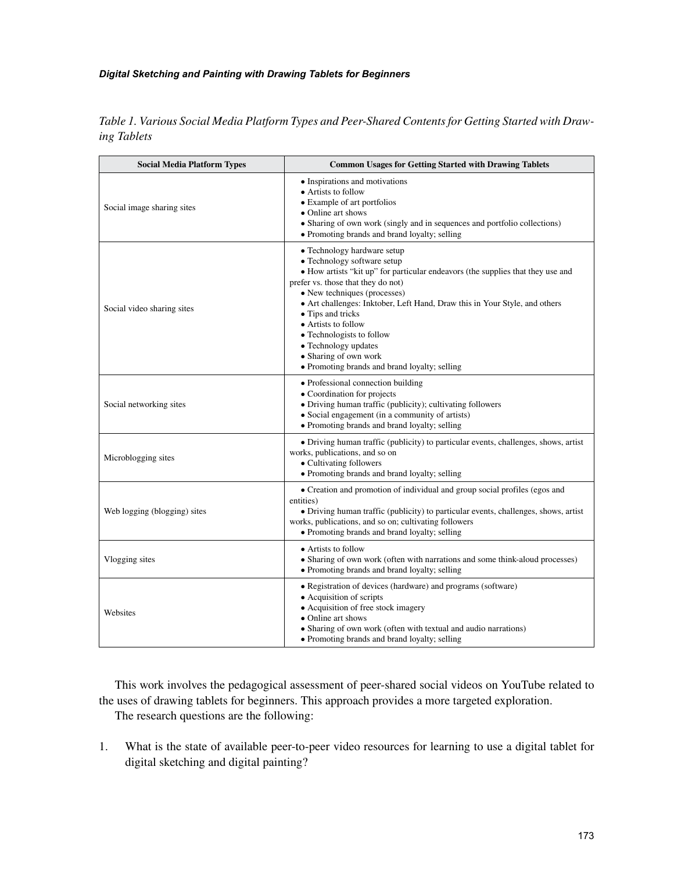#### *Digital Sketching and Painting with Drawing Tablets for Beginners*

| <b>Social Media Platform Types</b> | <b>Common Usages for Getting Started with Drawing Tablets</b>                                                                                                                                                                                                                                                                                                                                                                                                                |
|------------------------------------|------------------------------------------------------------------------------------------------------------------------------------------------------------------------------------------------------------------------------------------------------------------------------------------------------------------------------------------------------------------------------------------------------------------------------------------------------------------------------|
| Social image sharing sites         | • Inspirations and motivations<br>• Artists to follow<br>• Example of art portfolios<br>• Online art shows<br>• Sharing of own work (singly and in sequences and portfolio collections)<br>• Promoting brands and brand loyalty; selling                                                                                                                                                                                                                                     |
| Social video sharing sites         | • Technology hardware setup<br>• Technology software setup<br>· How artists "kit up" for particular endeavors (the supplies that they use and<br>prefer vs. those that they do not)<br>• New techniques (processes)<br>• Art challenges: Inktober, Left Hand, Draw this in Your Style, and others<br>• Tips and tricks<br>• Artists to follow<br>• Technologists to follow<br>• Technology updates<br>• Sharing of own work<br>• Promoting brands and brand loyalty; selling |
| Social networking sites            | • Professional connection building<br>• Coordination for projects<br>• Driving human traffic (publicity); cultivating followers<br>• Social engagement (in a community of artists)<br>• Promoting brands and brand loyalty; selling                                                                                                                                                                                                                                          |
| Microblogging sites                | • Driving human traffic (publicity) to particular events, challenges, shows, artist<br>works, publications, and so on<br>• Cultivating followers<br>• Promoting brands and brand loyalty; selling                                                                                                                                                                                                                                                                            |
| Web logging (blogging) sites       | • Creation and promotion of individual and group social profiles (egos and<br>entities)<br>• Driving human traffic (publicity) to particular events, challenges, shows, artist<br>works, publications, and so on; cultivating followers<br>• Promoting brands and brand loyalty; selling                                                                                                                                                                                     |
| Vlogging sites                     | • Artists to follow<br>• Sharing of own work (often with narrations and some think-aloud processes)<br>• Promoting brands and brand loyalty; selling                                                                                                                                                                                                                                                                                                                         |
| Websites                           | • Registration of devices (hardware) and programs (software)<br>• Acquisition of scripts<br>• Acquisition of free stock imagery<br>• Online art shows<br>• Sharing of own work (often with textual and audio narrations)<br>• Promoting brands and brand loyalty; selling                                                                                                                                                                                                    |

*Table 1. Various Social Media Platform Types and Peer-Shared Contents for Getting Started with Drawing Tablets*

This work involves the pedagogical assessment of peer-shared social videos on YouTube related to the uses of drawing tablets for beginners. This approach provides a more targeted exploration.

The research questions are the following:

1. What is the state of available peer-to-peer video resources for learning to use a digital tablet for digital sketching and digital painting?